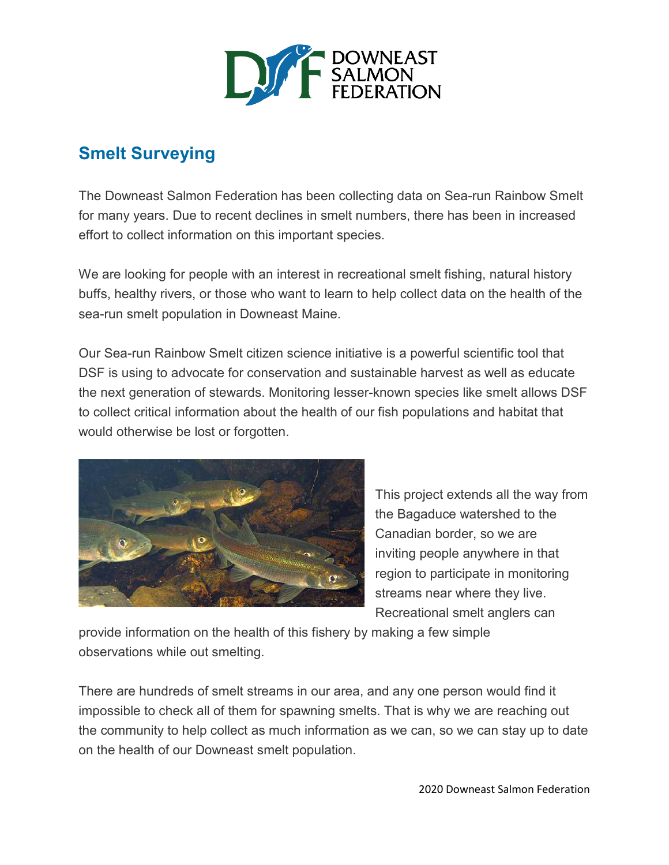

## **Smelt Surveying**

The Downeast Salmon Federation has been collecting data on Sea-run Rainbow Smelt for many years. Due to recent declines in smelt numbers, there has been in increased effort to collect information on this important species.

We are looking for people with an interest in recreational smelt fishing, natural history buffs, healthy rivers, or those who want to learn to help collect data on the health of the sea-run smelt population in Downeast Maine.

Our Sea-run Rainbow Smelt citizen science initiative is a powerful scientific tool that DSF is using to advocate for conservation and sustainable harvest as well as educate the next generation of stewards. Monitoring lesser-known species like smelt allows DSF to collect critical information about the health of our fish populations and habitat that would otherwise be lost or forgotten.



This project extends all the way from the Bagaduce watershed to the Canadian border, so we are inviting people anywhere in that region to participate in monitoring streams near where they live. Recreational smelt anglers can

provide information on the health of this fishery by making a few simple observations while out smelting.

There are hundreds of smelt streams in our area, and any one person would find it impossible to check all of them for spawning smelts. That is why we are reaching out the community to help collect as much information as we can, so we can stay up to date on the health of our Downeast smelt population.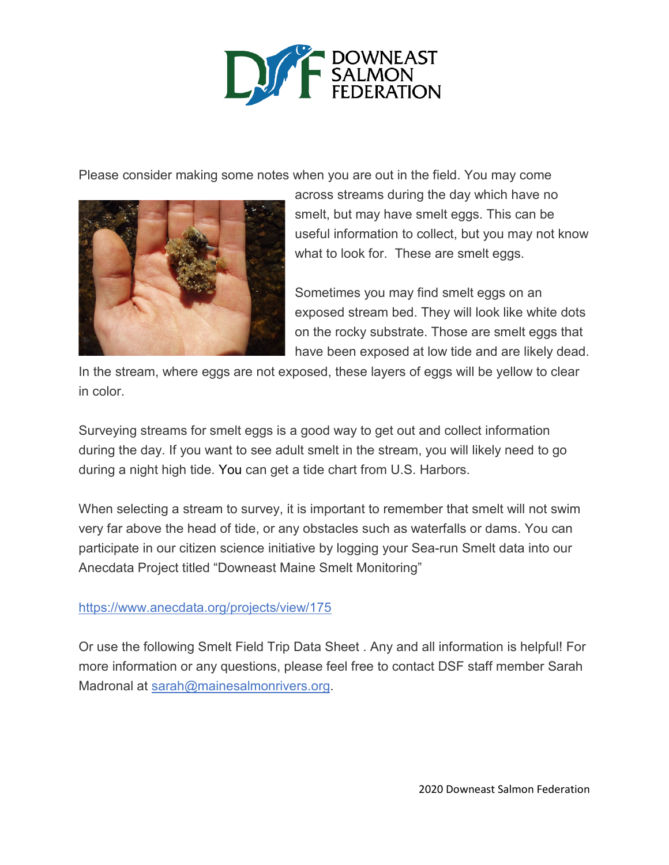

Please consider making some notes when you are out in the field. You may come



across streams during the day which have no smelt, but may have smelt eggs. This can be useful information to collect, but you may not know what to look for. These are smelt eggs.

Sometimes you may find smelt eggs on an exposed stream bed. They will look like white dots on the rocky substrate. Those are smelt eggs that have been exposed at low tide and are likely dead.

In the stream, where eggs are not exposed, these layers of eggs will be yellow to clear in color.

Surveying streams for smelt eggs is a good way to get out and collect information during the day. If you want to see adult smelt in the stream, you will likely need to go during a night high tide. [You](http://me.usharbors.com/maine-tide-charts) can get a tide chart from U.S. Harbors.

When selecting a stream to survey, it is important to remember that smelt will not swim very far above the head of tide, or any obstacles such as waterfalls or dams. You can participate in our citizen science initiative by logging your Sea-run Smelt data into our Anecdata Project titled "Downeast Maine Smelt Monitoring"

## <https://www.anecdata.org/projects/view/175>

Or use the following Smelt Field Trip Data Sheet . Any and all information is helpful! For more information or any questions, please feel free to contact DSF staff member Sarah Madronal at [sarah@mainesalmonrivers.org.](mailto:sarah@mainesalmonrivers.org)